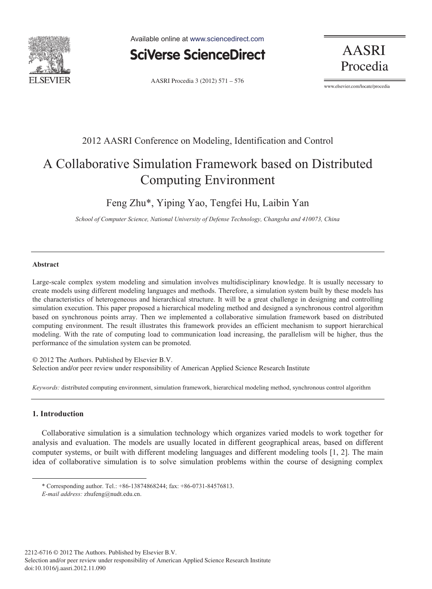

Available online at www.sciencedirect.com



**AASRI** Procedia

AASRI Procedia 3 (2012) 571 - 576

www.elsevier.com/locate/procedia

## 2012 AASRI Conference on Modeling, Identification and Control

# A Collaborative Simulation Framework based on Distributed Computing Environment

## Feng Zhu\*, Yiping Yao, Tengfei Hu, Laibin Yan

*School of Computer Science, National University of Defense Technology, Changsha and 410073, China* 

#### **Abstract**

Large-scale complex system modeling and simulation involves multidisciplinary knowledge. It is usually necessary to create models using different modeling languages and methods. Therefore, a simulation system built by these models has the characteristics of heterogeneous and hierarchical structure. It will be a great challenge in designing and controlling simulation execution. This paper proposed a hierarchical modeling method and designed a synchronous control algorithm based on synchronous points array. Then we implemented a collaborative simulation framework based on distributed computing environment. The result illustrates this framework provides an efficient mechanism to support hierarchical modeling. With the rate of computing load to communication load increasing, the parallelism will be higher, thus the performance of the simulation system can be promoted.

© 2012 The Authors. Published by Elsevier B.V. Science Research Institute Selection and/or peer review under responsibility of American Applied Science Research Institute

*Keywords:* distributed computing environment, simulation framework, hierarchical modeling method, synchronous control algorithm

#### **1. Introduction**

l

Collaborative simulation is a simulation technology which organizes varied models to work together for analysis and evaluation. The models are usually located in different geographical areas, based on different computer systems, or built with different modeling languages and different modeling tools [1, 2]. The main idea of collaborative simulation is to solve simulation problems within the course of designing complex

<sup>\*</sup> Corresponding author. Tel.: +86-13874868244; fax: +86-0731-84576813.

*E-mail address:* zhufeng@nudt.edu.cn.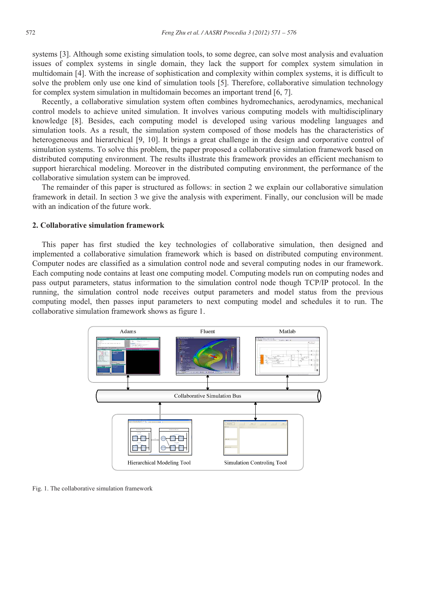systems [3]. Although some existing simulation tools, to some degree, can solve most analysis and evaluation issues of complex systems in single domain, they lack the support for complex system simulation in multidomain [4]. With the increase of sophistication and complexity within complex systems, it is difficult to solve the problem only use one kind of simulation tools [5]. Therefore, collaborative simulation technology for complex system simulation in multidomain becomes an important trend [6, 7].

Recently, a collaborative simulation system often combines hydromechanics, aerodynamics, mechanical control models to achieve united simulation. It involves various computing models with multidisciplinary knowledge [8]. Besides, each computing model is developed using various modeling languages and simulation tools. As a result, the simulation system composed of those models has the characteristics of heterogeneous and hierarchical [9, 10]. It brings a great challenge in the design and corporative control of simulation systems. To solve this problem, the paper proposed a collaborative simulation framework based on distributed computing environment. The results illustrate this framework provides an efficient mechanism to support hierarchical modeling. Moreover in the distributed computing environment, the performance of the collaborative simulation system can be improved.

The remainder of this paper is structured as follows: in section 2 we explain our collaborative simulation framework in detail. In section 3 we give the analysis with experiment. Finally, our conclusion will be made with an indication of the future work.

#### **2. Collaborative simulation framework**

This paper has first studied the key technologies of collaborative simulation, then designed and implemented a collaborative simulation framework which is based on distributed computing environment. Computer nodes are classified as a simulation control node and several computing nodes in our framework. Each computing node contains at least one computing model. Computing models run on computing nodes and pass output parameters, status information to the simulation control node though TCP/IP protocol. In the running, the simulation control node receives output parameters and model status from the previous computing model, then passes input parameters to next computing model and schedules it to run. The collaborative simulation framework shows as figure 1.



Fig. 1. The collaborative simulation framework